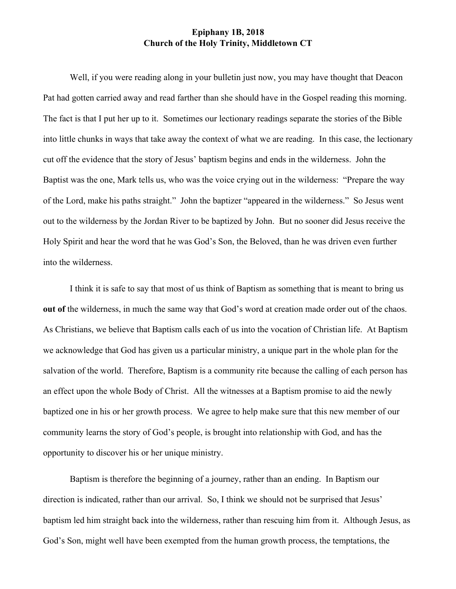## **Epiphany 1B, 2018 Church of the Holy Trinity, Middletown CT**

Well, if you were reading along in your bulletin just now, you may have thought that Deacon Pat had gotten carried away and read farther than she should have in the Gospel reading this morning. The fact is that I put her up to it. Sometimes our lectionary readings separate the stories of the Bible into little chunks in ways that take away the context of what we are reading. In this case, the lectionary cut off the evidence that the story of Jesus' baptism begins and ends in the wilderness. John the Baptist was the one, Mark tells us, who was the voice crying out in the wilderness: "Prepare the way of the Lord, make his paths straight." John the baptizer "appeared in the wilderness." So Jesus went out to the wilderness by the Jordan River to be baptized by John. But no sooner did Jesus receive the Holy Spirit and hear the word that he was God's Son, the Beloved, than he was driven even further into the wilderness.

I think it is safe to say that most of us think of Baptism as something that is meant to bring us **out of the wilderness, in much the same way that God's word at creation made order out of the chaos.** As Christians, we believe that Baptism calls each of us into the vocation of Christian life. At Baptism we acknowledge that God has given us a particular ministry, a unique part in the whole plan for the salvation of the world. Therefore, Baptism is a community rite because the calling of each person has an effect upon the whole Body of Christ. All the witnesses at a Baptism promise to aid the newly baptized one in his or her growth process. We agree to help make sure that this new member of our community learns the story of God's people, is brought into relationship with God, and has the opportunity to discover his or her unique ministry.

Baptism is therefore the beginning of a journey, rather than an ending. In Baptism our direction is indicated, rather than our arrival. So, I think we should not be surprised that Jesus' baptism led him straight back into the wilderness, rather than rescuing him from it. Although Jesus, as God's Son, might well have been exempted from the human growth process, the temptations, the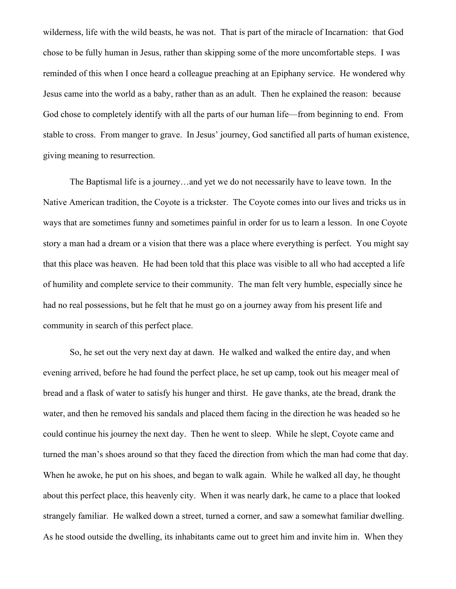wilderness, life with the wild beasts, he was not. That is part of the miracle of Incarnation: that God chose to be fully human in Jesus, rather than skipping some of the more uncomfortable steps. I was reminded of this when I once heard a colleague preaching at an Epiphany service. He wondered why Jesus came into the world as a baby, rather than as an adult. Then he explained the reason: because God chose to completely identify with all the parts of our human life—from beginning to end. From stable to cross. From manger to grave. In Jesus' journey, God sanctified all parts of human existence, giving meaning to resurrection.

The Baptismal life is a journey…and yet we do not necessarily have to leave town. In the Native American tradition, the Coyote is a trickster. The Coyote comes into our lives and tricks us in ways that are sometimes funny and sometimes painful in order for us to learn a lesson. In one Coyote story a man had a dream or a vision that there was a place where everything is perfect. You might say that this place was heaven. He had been told that this place was visible to all who had accepted a life of humility and complete service to their community. The man felt very humble, especially since he had no real possessions, but he felt that he must go on a journey away from his present life and community in search of this perfect place.

So, he set out the very next day at dawn. He walked and walked the entire day, and when evening arrived, before he had found the perfect place, he set up camp, took out his meager meal of bread and a flask of water to satisfy his hunger and thirst. He gave thanks, ate the bread, drank the water, and then he removed his sandals and placed them facing in the direction he was headed so he could continue his journey the next day. Then he went to sleep. While he slept, Coyote came and turned the man's shoes around so that they faced the direction from which the man had come that day. When he awoke, he put on his shoes, and began to walk again. While he walked all day, he thought about this perfect place, this heavenly city. When it was nearly dark, he came to a place that looked strangely familiar. He walked down a street, turned a corner, and saw a somewhat familiar dwelling. As he stood outside the dwelling, its inhabitants came out to greet him and invite him in. When they